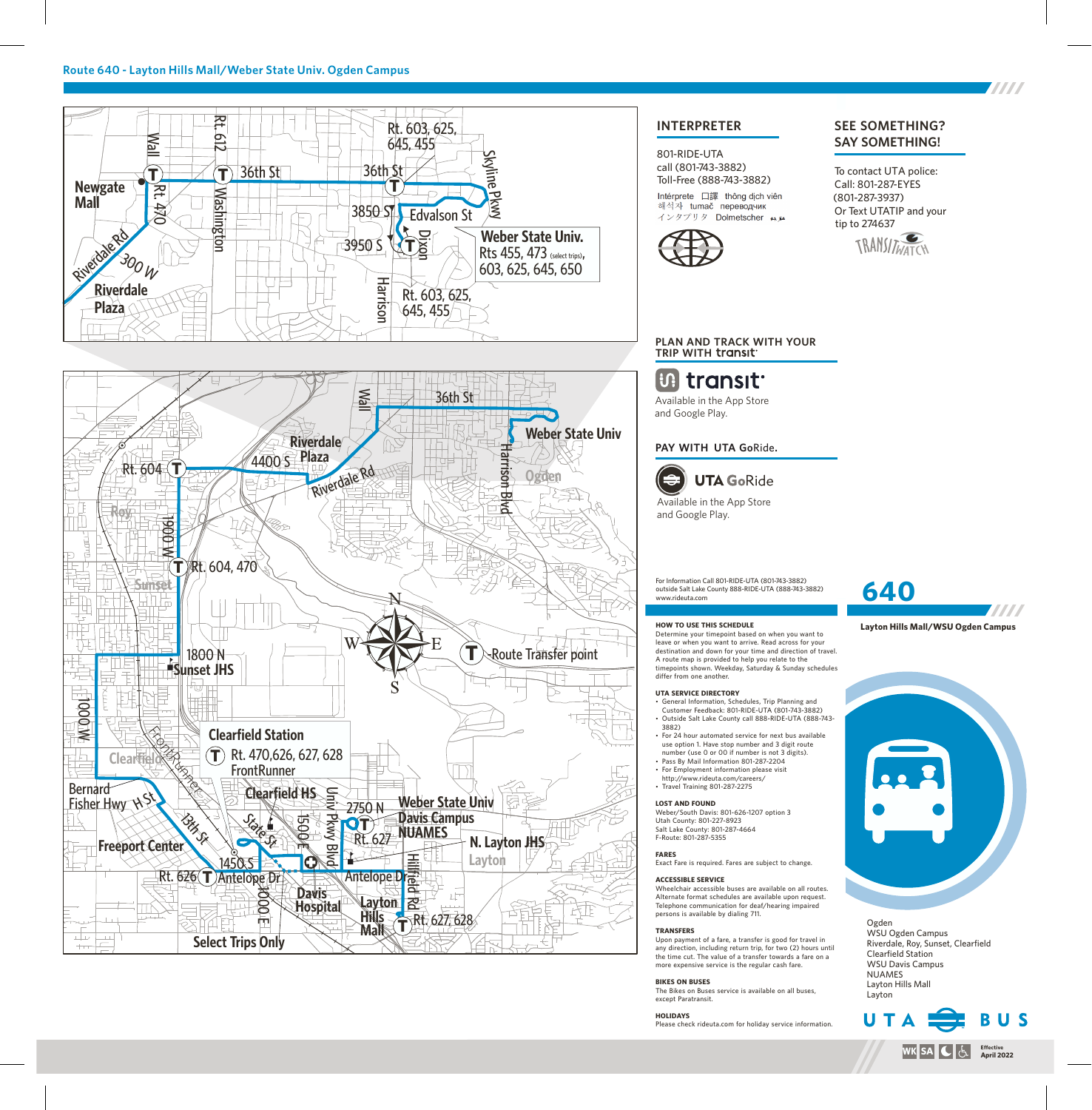## **Route 640 - Layton Hills Mall/Weber State Univ. Ogden Campus**



## NUAMES Layton Hills Mall Layton

The Bikes on Buses service is available on all buses, except Paratransit.

**BIKES ON BUSES**

**HOLIDAYS** Please check rideuta.com for holiday service information.



7777